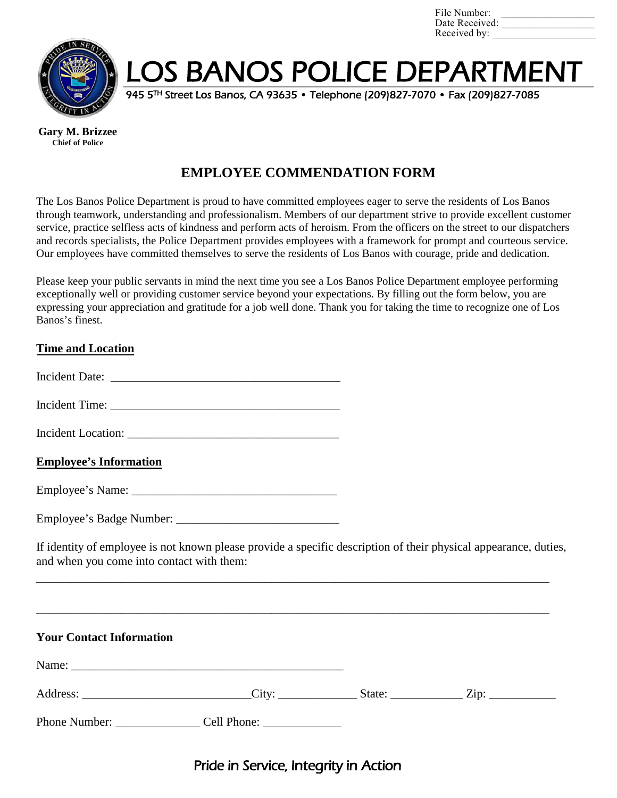| File Number:   |  |
|----------------|--|
| Date Received: |  |
| Received by:   |  |



LOS BANOS POLICE DEPARTMENT

945 5TH Street Los Banos, CA 93635 • Telephone (209)827-7070 • Fax (209)827-7085

**Gary M. Brizzee Chief of Police**

# **EMPLOYEE COMMENDATION FORM**

The Los Banos Police Department is proud to have committed employees eager to serve the residents of Los Banos through teamwork, understanding and professionalism. Members of our department strive to provide excellent customer service, practice selfless acts of kindness and perform acts of heroism. From the officers on the street to our dispatchers and records specialists, the Police Department provides employees with a framework for prompt and courteous service. Our employees have committed themselves to serve the residents of Los Banos with courage, pride and dedication.

Please keep your public servants in mind the next time you see a Los Banos Police Department employee performing exceptionally well or providing customer service beyond your expectations. By filling out the form below, you are expressing your appreciation and gratitude for a job well done. Thank you for taking the time to recognize one of Los Banos's finest.

### **Time and Location**

| <b>Incident Date:</b> |  |
|-----------------------|--|
|-----------------------|--|

Incident Time: \_\_\_\_\_\_\_\_\_\_\_\_\_\_\_\_\_\_\_\_\_\_\_\_\_\_\_\_\_\_\_\_\_\_\_\_\_\_

| <b>Incident Location:</b> |  |
|---------------------------|--|
|---------------------------|--|

#### **Employee's Information**

| Employee's Name: |  |
|------------------|--|
|------------------|--|

| Employee's Badge Number: |  |
|--------------------------|--|
|                          |  |

If identity of employee is not known please provide a specific description of their physical appearance, duties, and when you come into contact with them:

\_\_\_\_\_\_\_\_\_\_\_\_\_\_\_\_\_\_\_\_\_\_\_\_\_\_\_\_\_\_\_\_\_\_\_\_\_\_\_\_\_\_\_\_\_\_\_\_\_\_\_\_\_\_\_\_\_\_\_\_\_\_\_\_\_\_\_\_\_\_\_\_

| <b>Your Contact Information</b> |  |  |
|---------------------------------|--|--|
|                                 |  |  |
|                                 |  |  |
|                                 |  |  |

## Pride in Service, Integrity in Action